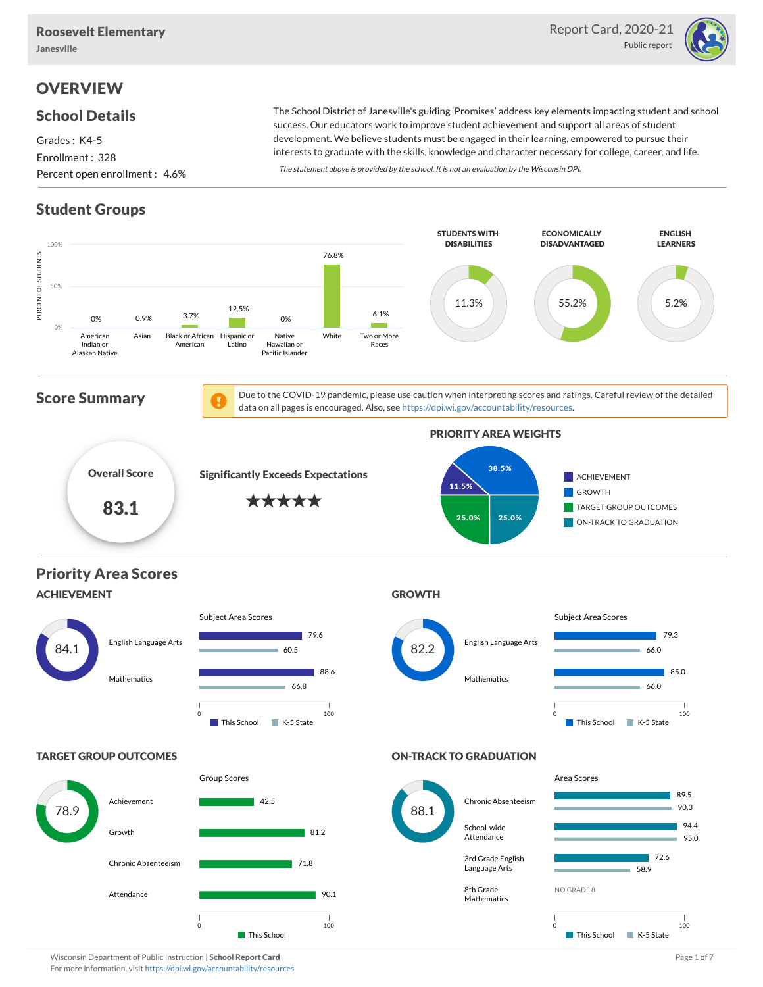

## **OVERVIEW**

### School Details

Grades : K4-5 Enrollment : 328 Percent open enrollment : 4.6%

The School District of Janesville's guiding 'Promises' address key elements impacting student and school success. Our educators work to improve student achievement and support all areas of student development. We believe students must be engaged in their learning, empowered to pursue their interests to graduate with the skills, knowledge and character necessary for college, career, and life.

The statement above is provided by the school. It is not an evaluation by the Wisconsin DPI.

## Student Groups



Wisconsin Department of Public Instruction | School Report Card Page 1 of 7 and 2008 and Page 1 of 7 and Page 1 of 7 For more information, visit <https://dpi.wi.gov/accountability/resources>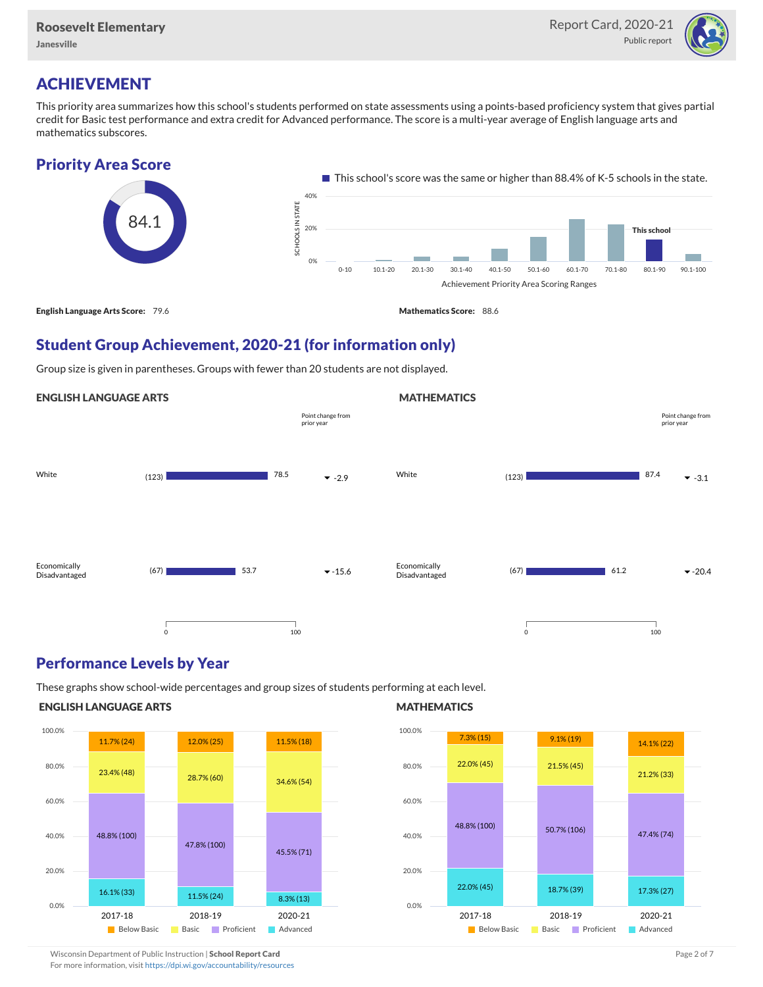

## ACHIEVEMENT

This priority area summarizes how this school's students performed on state assessments using a points-based proficiency system that gives partial credit for Basic test performance and extra credit for Advanced performance. The score is a multi-year average of English language arts and mathematics subscores.

### Priority Area Score



### Student Group Achievement, 2020-21 (for information only)

Group size is given in parentheses. Groups with fewer than 20 students are not displayed.

#### ENGLISH LANGUAGE ARTS White  $(123)$   $323$   $78.5$   $78.5$ Economically Disadvantaged  $(67)$   $\bullet$  -15.6 78.5 53.7 0 100 Point change from prior year **MATHEMATICS** White  $(123)$   $87.4$   $\bullet$  -3.1 Economically Disadvantaged  $(67)$   $\bullet$  -20.4 87.4 61.2 0 100 Point change from prior year

### Performance Levels by Year

These graphs show school-wide percentages and group sizes of students performing at each level.

#### ENGLISH LANGUAGE ARTS



#### **MATHEMATICS**



Wisconsin Department of Public Instruction | School Report Card Page 2 of 7 and 2008 and 2009 and 2 of 7 and 2 of 7

For more information, visit <https://dpi.wi.gov/accountability/resources>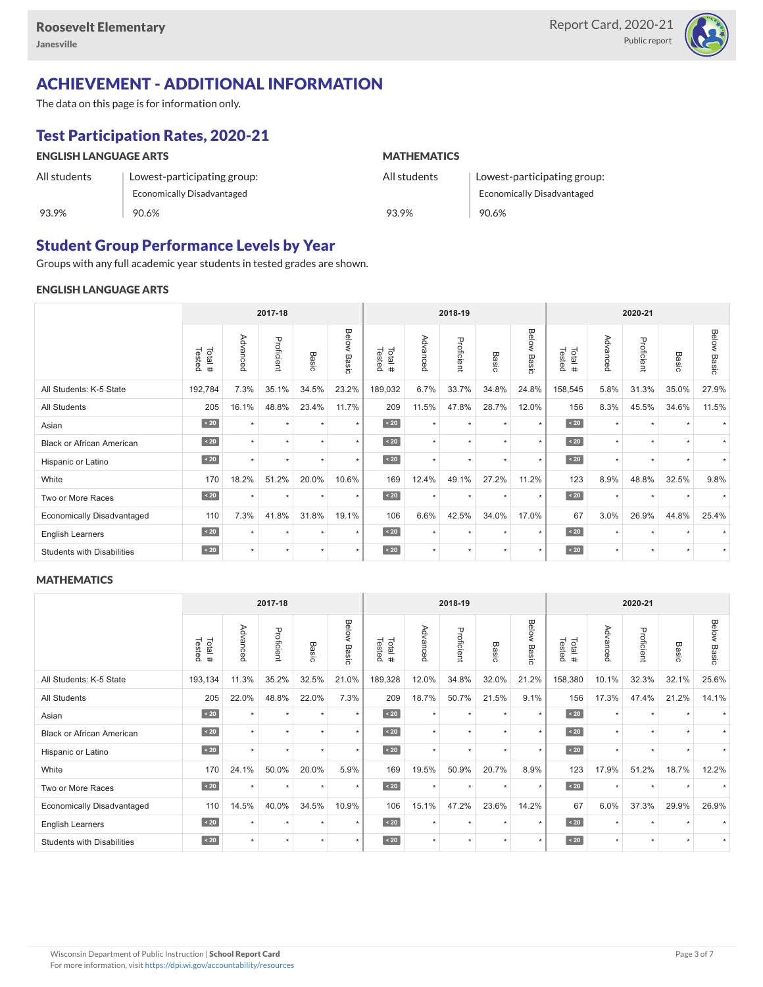

# ACHIEVEMENT - ADDITIONAL INFORMATION

The data on this page is for information only.

# Test Participation Rates, 2020-21

| <b>ENGLISH LANGUAGE ARTS</b> |                             | <b>MATHEMATICS</b> |                                   |  |  |  |  |
|------------------------------|-----------------------------|--------------------|-----------------------------------|--|--|--|--|
| All students                 | Lowest-participating group: | All students       | Lowest-participating group:       |  |  |  |  |
|                              | Economically Disadvantaged  |                    | <b>Economically Disadvantaged</b> |  |  |  |  |
| 93.9%                        | 90.6%                       | 93.9%              | 90.6%                             |  |  |  |  |

### Student Group Performance Levels by Year

Groups with any full academic year students in tested grades are shown.

### ENGLISH LANGUAGE ARTS

|                                   |                  |          | 2017-18    |               |                    |                  |          | 2018-19    |                 |                |                  |          | 2020-21    |         |                    |
|-----------------------------------|------------------|----------|------------|---------------|--------------------|------------------|----------|------------|-----------------|----------------|------------------|----------|------------|---------|--------------------|
|                                   | Tested<br>Total# | Advanced | Proficient | Basic         | <b>Below Basic</b> | Tested<br>Total# | Advanced | Proficient | Basi<br>$\circ$ | Below<br>Basic | Tested<br>Total# | Advanced | Proficient | Basic   | <b>Below Basic</b> |
| All Students: K-5 State           | 192,784          | 7.3%     | 35.1%      | 34.5%         | 23.2%              | 189,032          | 6.7%     | 33.7%      | 34.8%           | 24.8%          | 158,545          | 5.8%     | 31.3%      | 35.0%   | 27.9%              |
| All Students                      | 205              | 16.1%    | 48.8%      | 23.4%         | 11.7%              | 209              | 11.5%    | 47.8%      | 28.7%           | 12.0%          | 156              | 8.3%     | 45.5%      | 34.6%   | 11.5%              |
| Asian                             | $\sim 20$        | ٠        | ٠          | $\rightarrow$ | $\star$            | $\angle 20$      | $\star$  | $\star$    | $\ddot{}$       | $\ddot{}$      | $\angle 20$      | $\star$  | $\star$    |         |                    |
| <b>Black or African American</b>  | $\sim 20$        | ٠        | $\star$    |               | $\star$            | $\sim 20$        | $\star$  | $\star$    |                 | $\star$        | $\sim 20$        | $\star$  | $\star$    |         |                    |
| Hispanic or Latino                | $\angle 20$      |          | $\star$    | $\star$       | $\star$            | $\sim 20$        | $\star$  | $\star$    | $\star$         | $\star$        | $\angle 20$      | $\star$  | $\star$    |         |                    |
| White                             | 170              | 18.2%    | 51.2%      | 20.0%         | 10.6%              | 169              | 12.4%    | 49.1%      | 27.2%           | 11.2%          | 123              | 8.9%     | 48.8%      | 32.5%   | 9.8%               |
| Two or More Races                 | $\sim 20$        | $\star$  | $\star$    | $\star$       | $\star$            | $\sim 20$        | $\star$  | $\star$    | $\star$         | $\star$        | $\angle 20$      | $\star$  | $\star$    | $\star$ | $\star$            |
| <b>Economically Disadvantaged</b> | 110              | 7.3%     | 41.8%      | 31.8%         | 19.1%              | 106              | 6.6%     | 42.5%      | 34.0%           | 17.0%          | 67               | 3.0%     | 26.9%      | 44.8%   | 25.4%              |
| <b>English Learners</b>           | $\sim 20$        | ٠        | $\star$    | ٠             | $\star$            | $\sim 20$        | $\star$  | $\star$    | $\ddot{}$       | ٠              | $\sim 20$        | $\star$  | $\star$    |         |                    |
| <b>Students with Disabilities</b> | $\leq 20$        | ÷        | $\star$    | ٠             | $\star$            | $\sim 20$        | $\star$  | $\star$    | $\star$         | $\star$        | $\sim 20$        | $\star$  | $\star$    | $\star$ |                    |

### **MATHEMATICS**

|                                   | 2017-18          |                      |            |         | 2018-19        |                  |          |            | 2020-21   |                |                  |          |            |           |                    |
|-----------------------------------|------------------|----------------------|------------|---------|----------------|------------------|----------|------------|-----------|----------------|------------------|----------|------------|-----------|--------------------|
|                                   | Total#<br>Tested | Advanced             | Proficient | Basic   | Below<br>Basic | Tested<br>Total# | Advancec | Proficient | Basic     | Below<br>Basic | Tested<br>Total# | Advancec | Proficient | Basic     | <b>Below Basic</b> |
| All Students: K-5 State           | 193,134          | 11.3%                | 35.2%      | 32.5%   | 21.0%          | 189,328          | 12.0%    | 34.8%      | 32.0%     | 21.2%          | 158,380          | 10.1%    | 32.3%      | 32.1%     | 25.6%              |
| All Students                      | 205              | 22.0%                | 48.8%      | 22.0%   | 7.3%           | 209              | 18.7%    | 50.7%      | 21.5%     | 9.1%           | 156              | 17.3%    | 47.4%      | 21.2%     | 14.1%              |
| Asian                             | $\angle 20$      | $\ddot{\phantom{1}}$ | ٠          | ٠       | $\star$        | $\angle 20$      | $\star$  | $\star$    | $\star$   | $\ddot{}$      | $\angle 20$      | $\star$  | ٠          |           |                    |
| <b>Black or African American</b>  | $\sim 20$        | $\star$              | $\star$    | ٠       | $\star$        | $\angle 20$      | $\star$  | $\star$    |           | $\star$        | $\sim 20$        | $\star$  | $\star$    |           |                    |
| Hispanic or Latino                | $\sim 20$        |                      | ٠          | ٠       | $\star$        | $\angle 20$      | $\star$  | $\star$    | $\ddot{}$ | $\star$        | $\sim 20$        | $\star$  | $\star$    |           |                    |
| White                             | 170              | 24.1%                | 50.0%      | 20.0%   | 5.9%           | 169              | 19.5%    | 50.9%      | 20.7%     | 8.9%           | 123              | 17.9%    | 51.2%      | 18.7%     | 12.2%              |
| Two or More Races                 | $\sim 20$        | $\star$              | $\star$    | $\star$ | $\star$        | $\angle 20$      | $\star$  | $\star$    | $\star$   | $\star$        | $\angle 20$      | $\star$  | $\star$    |           |                    |
| <b>Economically Disadvantaged</b> | 110              | 14.5%                | 40.0%      | 34.5%   | 10.9%          | 106              | 15.1%    | 47.2%      | 23.6%     | 14.2%          | 67               | 6.0%     | 37.3%      | 29.9%     | 26.9%              |
| <b>English Learners</b>           | $\sim 20$        | ٠                    | $\star$    | ٠       | $\star$        | $\sim 20$        | $\star$  | $\star$    | $\ddot{}$ | $\star$        | $\sim 20$        | $\star$  | $\star$    |           |                    |
| <b>Students with Disabilities</b> | $\sim 20$        | ÷                    | ٠          | ٠       | $\star$        | $\angle 20$      | $\star$  | $\star$    | $\star$   | $\star$        | $\sim 20$        | $\star$  | $\star$    | $\ddot{}$ |                    |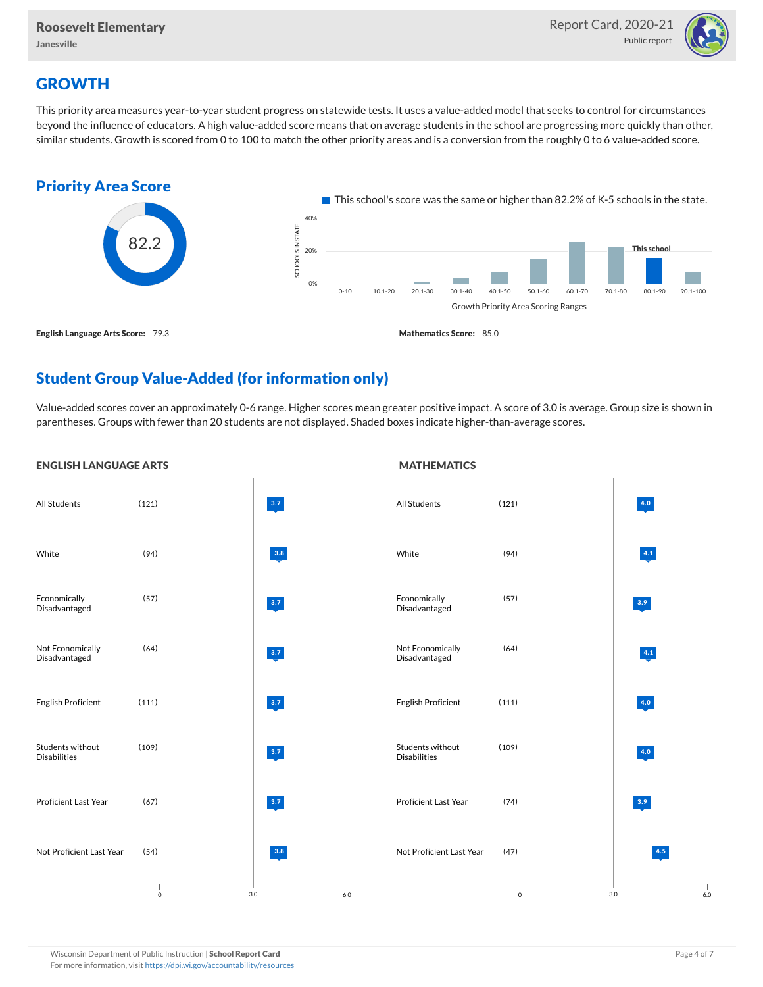

## **GROWTH**

This priority area measures year-to-year student progress on statewide tests. It uses a value-added model that seeks to control for circumstances beyond the influence of educators. A high value-added score means that on average students in the school are progressing more quickly than other, similar students. Growth is scored from 0 to 100 to match the other priority areas and is a conversion from the roughly 0 to 6 value-added score.



### Student Group Value-Added (for information only)

Value-added scores cover an approximately 0-6 range. Higher scores mean greater positive impact. A score of 3.0 is average. Group size is shown in parentheses. Groups with fewer than 20 students are not displayed. Shaded boxes indicate higher-than-average scores.

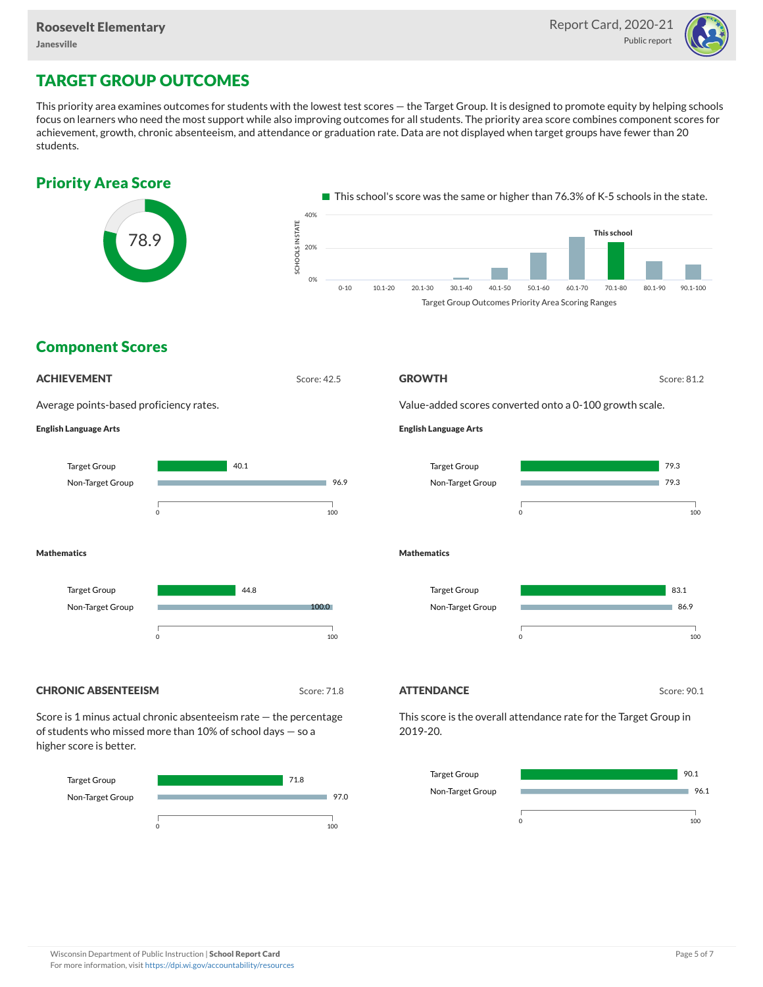

## TARGET GROUP OUTCOMES

This priority area examines outcomes for students with the lowest test scores — the Target Group. It is designed to promote equity by helping schools focus on learners who need the most support while also improving outcomes for all students. The priority area score combines component scores for achievement, growth, chronic absenteeism, and attendance or graduation rate. Data are not displayed when target groups have fewer than 20 students.



Non-Target Group



#### Wisconsin Department of Public Instruction | School Report Card Page 5 of 7 and 2008 and 2009 and 2009 and 2009 and 2009 and 2009 and 2009 and 2009 and 2009 and 2009 and 2009 and 2009 and 2009 and 2009 and 2009 and 2009 an For more information, visit <https://dpi.wi.gov/accountability/resources>

96.1

٠

0 100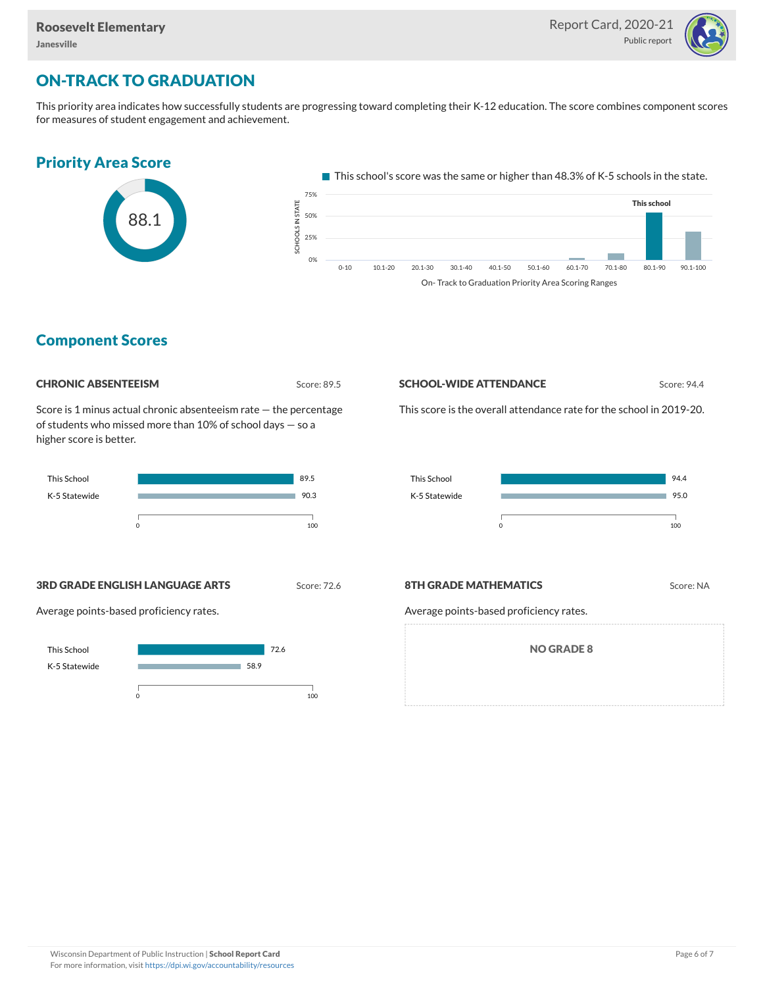

## ON-TRACK TO GRADUATION

This priority area indicates how successfully students are progressing toward completing their K-12 education. The score combines component scores for measures of student engagement and achievement.



On- Track to Graduation Priority Area Scoring Ranges

### Component Scores

Score: 89.5

Score is 1 minus actual chronic absenteeism rate — the percentage of students who missed more than 10% of school days — so a higher score is better.



**SCHOOL-WIDE ATTENDANCE** Score: 94.4

This score is the overall attendance rate for the school in 2019-20.



**3RD GRADE ENGLISH LANGUAGE ARTS** Score: 72.6

Average points-based proficiency rates.



### **8TH GRADE MATHEMATICS** Score: NA

Average points-based proficiency rates.

NO GRADE 8